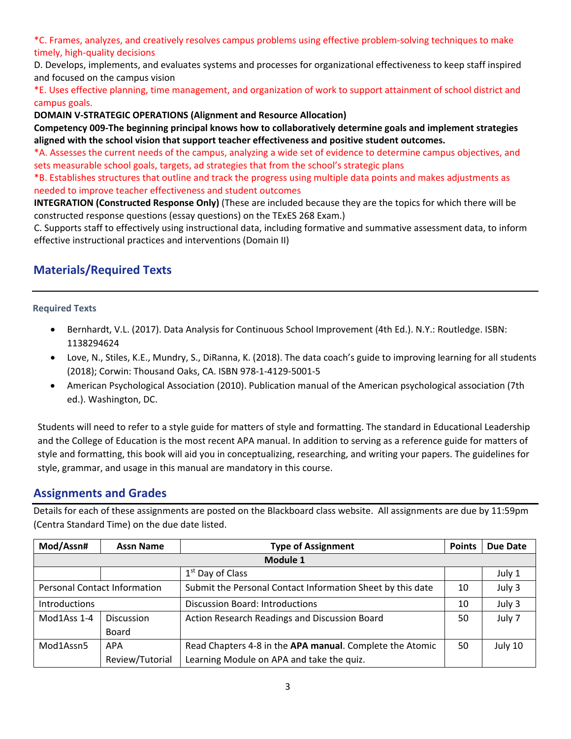\*C. Frames, analyzes, and creatively resolves campus problems using effective problem‐solving techniques to make timely, high‐quality decisions

D. Develops, implements, and evaluates systems and processes for organizational effectiveness to keep staff inspired and focused on the campus vision

\*E. Uses effective planning, time management, and organization of work to support attainment of school district and campus goals.

### **DOMAIN V‐STRATEGIC OPERATIONS (Alignment and Resource Allocation)**

**Competency 009‐The beginning principal knows how to collaboratively determine goals and implement strategies aligned with the school vision that support teacher effectiveness and positive student outcomes.** 

\*A. Assesses the current needs of the campus, analyzing a wide set of evidence to determine campus objectives, and sets measurable school goals, targets, ad strategies that from the school's strategic plans

\*B. Establishes structures that outline and track the progress using multiple data points and makes adjustments as needed to improve teacher effectiveness and student outcomes

**INTEGRATION (Constructed Response Only)** (These are included because they are the topics for which there will be constructed response questions (essay questions) on the TExES 268 Exam.)

C. Supports staff to effectively using instructional data, including formative and summative assessment data, to inform effective instructional practices and interventions (Domain II)

# **Materials/Required Texts**

### **Required Texts**

- Bernhardt, V.L. (2017). Data Analysis for Continuous School Improvement (4th Ed.). N.Y.: Routledge. ISBN: 1138294624
- Love, N., Stiles, K.E., Mundry, S., DiRanna, K. (2018). The data coach's guide to improving learning for all students (2018); Corwin: Thousand Oaks, CA. ISBN 978‐1‐4129‐5001‐5
- American Psychological Association (2010). Publication manual of the American psychological association (7th ed.). Washington, DC.

Students will need to refer to a style guide for matters of style and formatting. The standard in Educational Leadership and the College of Education is the most recent APA manual. In addition to serving as a reference guide for matters of style and formatting, this book will aid you in conceptualizing, researching, and writing your papers. The guidelines for style, grammar, and usage in this manual are mandatory in this course.

### **Assignments and Grades**

Details for each of these assignments are posted on the Blackboard class website. All assignments are due by 11:59pm (Centra Standard Time) on the due date listed.

| Mod/Assn#                           | <b>Assn Name</b>  | <b>Type of Assignment</b>                                  | <b>Points</b> | Due Date |  |  |  |
|-------------------------------------|-------------------|------------------------------------------------------------|---------------|----------|--|--|--|
| Module 1                            |                   |                                                            |               |          |  |  |  |
|                                     |                   | 1 <sup>st</sup> Day of Class                               |               | July 1   |  |  |  |
| <b>Personal Contact Information</b> |                   | Submit the Personal Contact Information Sheet by this date | 10            | July 3   |  |  |  |
| Introductions                       |                   | Discussion Board: Introductions                            | 10            | July 3   |  |  |  |
| Mod1Ass 1-4                         | <b>Discussion</b> | Action Research Readings and Discussion Board              | 50            | July 7   |  |  |  |
|                                     | <b>Board</b>      |                                                            |               |          |  |  |  |
| Mod1Assn5                           | APA               | Read Chapters 4-8 in the APA manual. Complete the Atomic   | 50            | July 10  |  |  |  |
|                                     | Review/Tutorial   | Learning Module on APA and take the quiz.                  |               |          |  |  |  |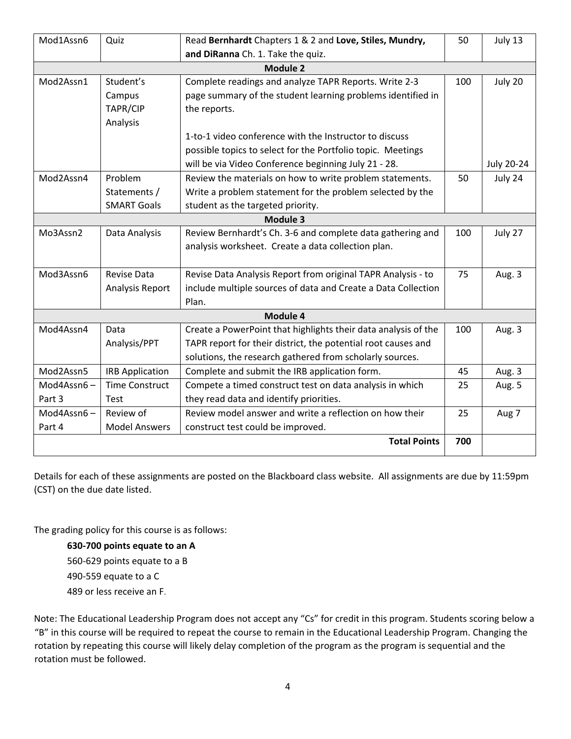| Mod1Assn6  | Quiz                   | Read Bernhardt Chapters 1 & 2 and Love, Stiles, Mundry,        | 50  | July 13    |  |  |  |  |
|------------|------------------------|----------------------------------------------------------------|-----|------------|--|--|--|--|
|            |                        | and DiRanna Ch. 1. Take the quiz.                              |     |            |  |  |  |  |
| Module 2   |                        |                                                                |     |            |  |  |  |  |
| Mod2Assn1  | Student's              | Complete readings and analyze TAPR Reports. Write 2-3          | 100 | July 20    |  |  |  |  |
|            | Campus                 | page summary of the student learning problems identified in    |     |            |  |  |  |  |
|            | TAPR/CIP               | the reports.                                                   |     |            |  |  |  |  |
|            | Analysis               |                                                                |     |            |  |  |  |  |
|            |                        | 1-to-1 video conference with the Instructor to discuss         |     |            |  |  |  |  |
|            |                        | possible topics to select for the Portfolio topic. Meetings    |     |            |  |  |  |  |
|            |                        | will be via Video Conference beginning July 21 - 28.           |     | July 20-24 |  |  |  |  |
| Mod2Assn4  | Problem                | Review the materials on how to write problem statements.       | 50  | July 24    |  |  |  |  |
|            | Statements /           | Write a problem statement for the problem selected by the      |     |            |  |  |  |  |
|            | <b>SMART Goals</b>     | student as the targeted priority.                              |     |            |  |  |  |  |
|            |                        | Module 3                                                       |     |            |  |  |  |  |
| Mo3Assn2   | Data Analysis          | Review Bernhardt's Ch. 3-6 and complete data gathering and     | 100 | July 27    |  |  |  |  |
|            |                        | analysis worksheet. Create a data collection plan.             |     |            |  |  |  |  |
|            |                        |                                                                |     |            |  |  |  |  |
| Mod3Assn6  | <b>Revise Data</b>     | Revise Data Analysis Report from original TAPR Analysis - to   | 75  | Aug. 3     |  |  |  |  |
|            | Analysis Report        | include multiple sources of data and Create a Data Collection  |     |            |  |  |  |  |
|            |                        | Plan.                                                          |     |            |  |  |  |  |
|            |                        | Module 4                                                       |     |            |  |  |  |  |
| Mod4Assn4  | Data                   | Create a PowerPoint that highlights their data analysis of the | 100 | Aug. 3     |  |  |  |  |
|            | Analysis/PPT           | TAPR report for their district, the potential root causes and  |     |            |  |  |  |  |
|            |                        | solutions, the research gathered from scholarly sources.       |     |            |  |  |  |  |
| Mod2Assn5  | <b>IRB Application</b> | Complete and submit the IRB application form.                  | 45  | Aug. 3     |  |  |  |  |
| Mod4Assn6- | <b>Time Construct</b>  | Compete a timed construct test on data analysis in which       | 25  | Aug. 5     |  |  |  |  |
| Part 3     | Test                   | they read data and identify priorities.                        |     |            |  |  |  |  |
| Mod4Assn6- | Review of              | Review model answer and write a reflection on how their        | 25  | Aug 7      |  |  |  |  |
| Part 4     | <b>Model Answers</b>   | construct test could be improved.                              |     |            |  |  |  |  |
|            |                        | <b>Total Points</b>                                            | 700 |            |  |  |  |  |
|            |                        |                                                                |     |            |  |  |  |  |

Details for each of these assignments are posted on the Blackboard class website. All assignments are due by 11:59pm (CST) on the due date listed.

The grading policy for this course is as follows:

**‐700 points equate to an A** ‐629 points equate to a B ‐559 equate to a C or less receive an F.

Note: The Educational Leadership Program does not accept any "Cs" for credit in this program. Students scoring below a "B" in this course will be required to repeat the course to remain in the Educational Leadership Program. Changing the rotation by repeating this course will likely delay completion of the program as the program is sequential and the rotation must be followed.